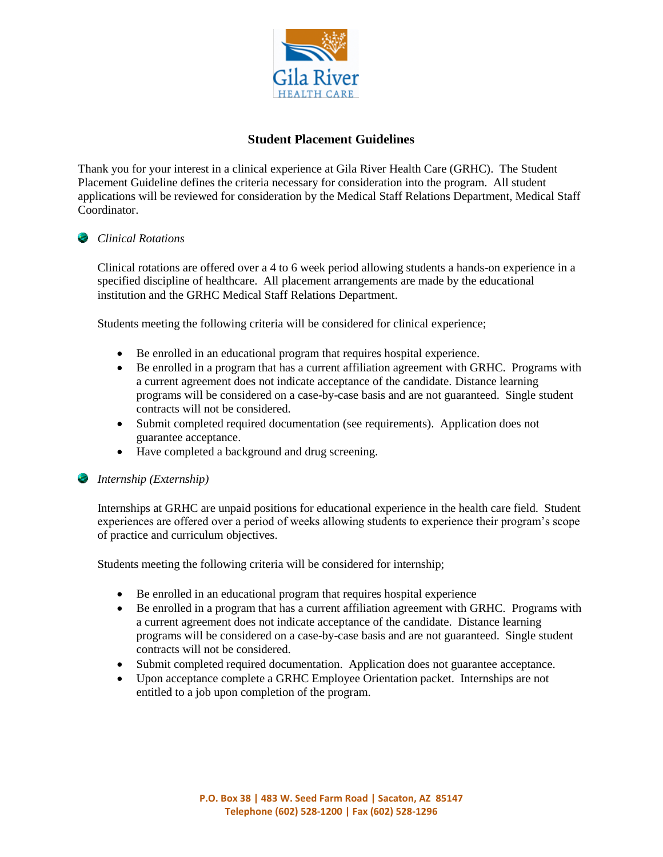

# **Student Placement Guidelines**

Thank you for your interest in a clinical experience at Gila River Health Care (GRHC). The Student Placement Guideline defines the criteria necessary for consideration into the program. All student applications will be reviewed for consideration by the Medical Staff Relations Department, Medical Staff Coordinator.

## *Clinical Rotations*

Clinical rotations are offered over a 4 to 6 week period allowing students a hands-on experience in a specified discipline of healthcare. All placement arrangements are made by the educational institution and the GRHC Medical Staff Relations Department.

Students meeting the following criteria will be considered for clinical experience;

- Be enrolled in an educational program that requires hospital experience.
- Be enrolled in a program that has a current affiliation agreement with GRHC. Programs with a current agreement does not indicate acceptance of the candidate. Distance learning programs will be considered on a case-by-case basis and are not guaranteed. Single student contracts will not be considered.
- Submit completed required documentation (see requirements). Application does not guarantee acceptance.
- Have completed a background and drug screening.

#### *Internship (Externship)*

Internships at GRHC are unpaid positions for educational experience in the health care field. Student experiences are offered over a period of weeks allowing students to experience their program's scope of practice and curriculum objectives.

Students meeting the following criteria will be considered for internship;

- Be enrolled in an educational program that requires hospital experience
- Be enrolled in a program that has a current affiliation agreement with GRHC. Programs with a current agreement does not indicate acceptance of the candidate. Distance learning programs will be considered on a case-by-case basis and are not guaranteed. Single student contracts will not be considered.
- Submit completed required documentation. Application does not guarantee acceptance.
- Upon acceptance complete a GRHC Employee Orientation packet. Internships are not entitled to a job upon completion of the program.